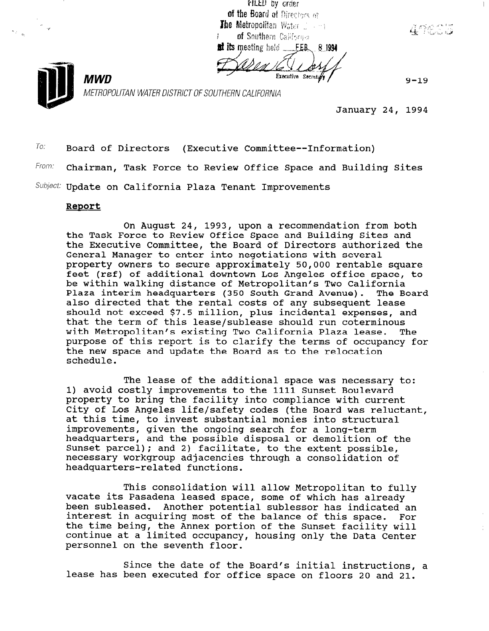FILED by croter of the Board of Directors of The Metropolitan Water Jackson of Southern California at its meeting held FER 81994

Executive Secret

 $9 - 19$ 

r:

METROPOLITAN WATER DISTRICT OF SOUTHERN CALIFORNIA

January 24, 1994

 $T_0$ : Board of Directors (Executive Committee--Information) From: Chairman, Task Force to Review Office Space and Building Sites Subject: Update on California Plaza Tenant Improvements

## ReDort

**MWD** 

On August 24, 1993, upon a recommendation from both the Task Force to Review Office Space and Building Sites and the Executive Committee, the Board of Directors authorized the General Manager to enter into negotiations with several property owners to secure approximately 50,000 rentable square feet (rsf) of additional downtown Los Angeles office space, to be within walking distance of Metropolitan's Two California Plaza interim headquarters (350 South Grand Avenue). The Board also directed that the rental costs of any subsequent lease should not exceed \$7.5 million, plus incidental expenses, and that the term of this lease/sublease should run coterminous with Metropolitan's existing Two California Plaza lease. The purpose of this report is to clarify the terms of occupancy for the new space and update the Board as to the relocation schedule.

The lease of the additional space was necessary to: 1) avoid costly improvements to the 1111 Sunset Boulevard property to bring the facility into compliance with current City of Los Angeles life/safety codes (the Board was reluctant, at this time, to invest substantial monies into structural improvements, given the ongoing search for a long-term headquarters, and the possible disposal or demolition of the Sunset parcel); and 2) facilitate, to the extent possible, necessary Workgroup adjacencies through a consolidation of headquarters-related functions.

This consolidation will allow Metropolitan to fully vacate its Pasadena leased space, some of which has already vacate its rasauena ieased space, some of which has difeady peen supreased. Another potential supressor has indicated an interest in acquiring most of the balance of this space. For the time being, the Annex portion of the Sunset facility will continue at a limited occupancy, housing only the Data Center<br>personnel on the seventh floor.

 $\sigma$  in a the date of the Board's initial initial intervals in the Board in  $\sigma$ since the date of the Board's initial instructions<br>described been executed for 2001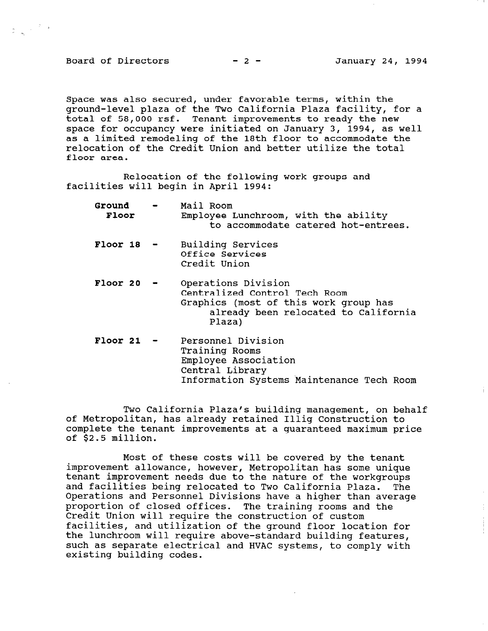Board of Directors  $-2$  - January 24, 1994

 $\begin{array}{ccccc} \alpha_{1} & & & \tau & \delta \\ \alpha_{2} & & & \tau & \delta \end{array}$ 

Space was also secured, under favorable terms, within the ground-level plaza of the Two California Plaza facility, for a total of 58,000 rsf. Tenant improvements to ready the new space for occupancy were initiated on January 3, 1994, as well as a limited remodeling of the 18th floor to accommodate the relocation of the Credit Union and better utilize the total floor area.

Relocation of the following work groups and facilities will begin in April 1994:

| Ground<br><b>Floor</b> | Mail Room<br>Employee Lunchroom, with the ability<br>to accommodate catered hot-entrees.                                                        |
|------------------------|-------------------------------------------------------------------------------------------------------------------------------------------------|
| $Floor 18 -$           | Building Services<br>Office Services<br>Credit Union                                                                                            |
| Floor 20               | Operations Division<br>Centralized Control Tech Room<br>Graphics (most of this work group has<br>already been relocated to California<br>Plaza) |
| $Floor 21 -$           | Personnel Division<br>Training Rooms<br>Employee Association<br>Contral Library                                                                 |

Two California Plaza's building management, on behalf of Metropolitan, has already retained Illig Construction to complete the tenant improvements at a guaranteed maximum price of \$2.5 million.

Information Systems Maintenance Tech Room

Most of these costs will be covered by the tenant most of these costs will be covered by the tenant tmprovement allowance, nowever, metropolitan has some uniq tenant improvement needs due to the nature of the workgroups and facilities being relocated to Two California Plaza. The Operations and Personnel Divisions have a higher than average proportion of closed offices. The training rooms and the proportion of closed offices. The training rooms and the Credit Union will require the construction of custom facilities, and utilization of the ground floor location for the lunchroom will require above-standard building features, such as separate electrical and HVAC systems, to comply with existing building codes.